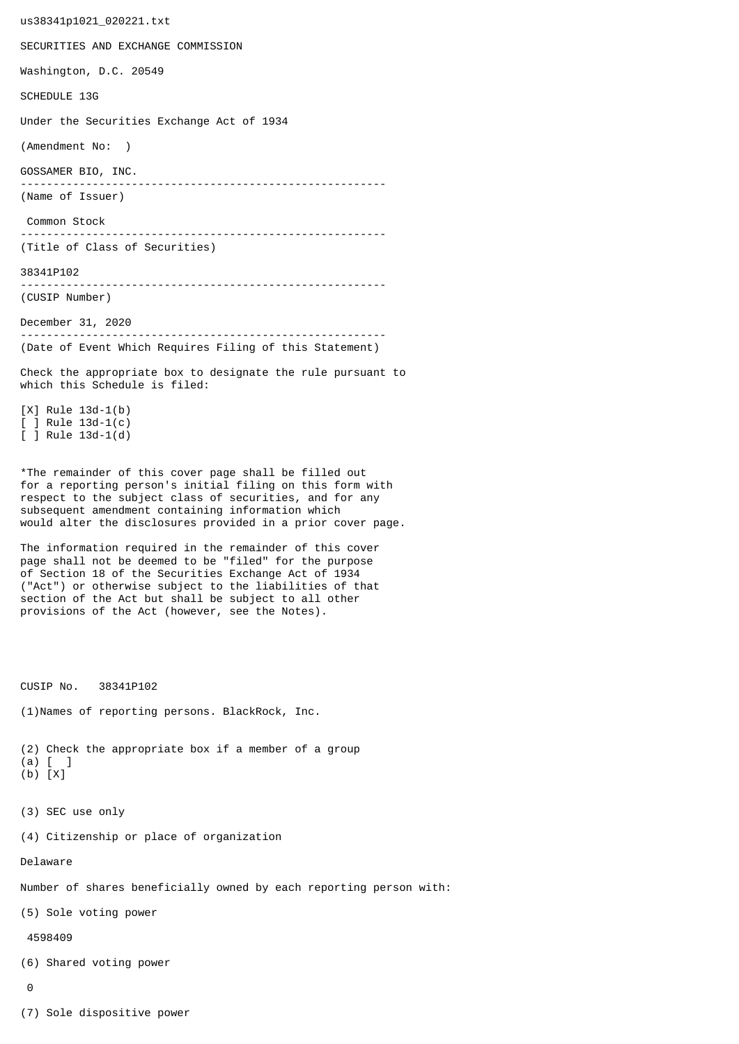us38341p1021\_020221.txt SECURITIES AND EXCHANGE COMMISSION Washington, D.C. 20549 SCHEDULE 13G Under the Securities Exchange Act of 1934 (Amendment No: ) GOSSAMER BIO, INC. -------------------------------------------------------- (Name of Issuer) Common Stock -------------------------------------------------------- (Title of Class of Securities) 38341P102 -------------------------------------------------------- (CUSIP Number) December 31, 2020 -------------------------------------------------------- (Date of Event Which Requires Filing of this Statement) Check the appropriate box to designate the rule pursuant to which this Schedule is filed: [X] Rule 13d-1(b) [ ] Rule 13d-1(c) [ ] Rule 13d-1(d) \*The remainder of this cover page shall be filled out for a reporting person's initial filing on this form with respect to the subject class of securities, and for any subsequent amendment containing information which would alter the disclosures provided in a prior cover page. The information required in the remainder of this cover page shall not be deemed to be "filed" for the purpose of Section 18 of the Securities Exchange Act of 1934 ("Act") or otherwise subject to the liabilities of that section of the Act but shall be subject to all other provisions of the Act (however, see the Notes). CUSIP No. 38341P102 (1)Names of reporting persons. BlackRock, Inc. (2) Check the appropriate box if a member of a group (a) [ ] (b) [X] (3) SEC use only (4) Citizenship or place of organization Delaware Number of shares beneficially owned by each reporting person with: (5) Sole voting power 4598409 (6) Shared voting power  $\Omega$ 

(7) Sole dispositive power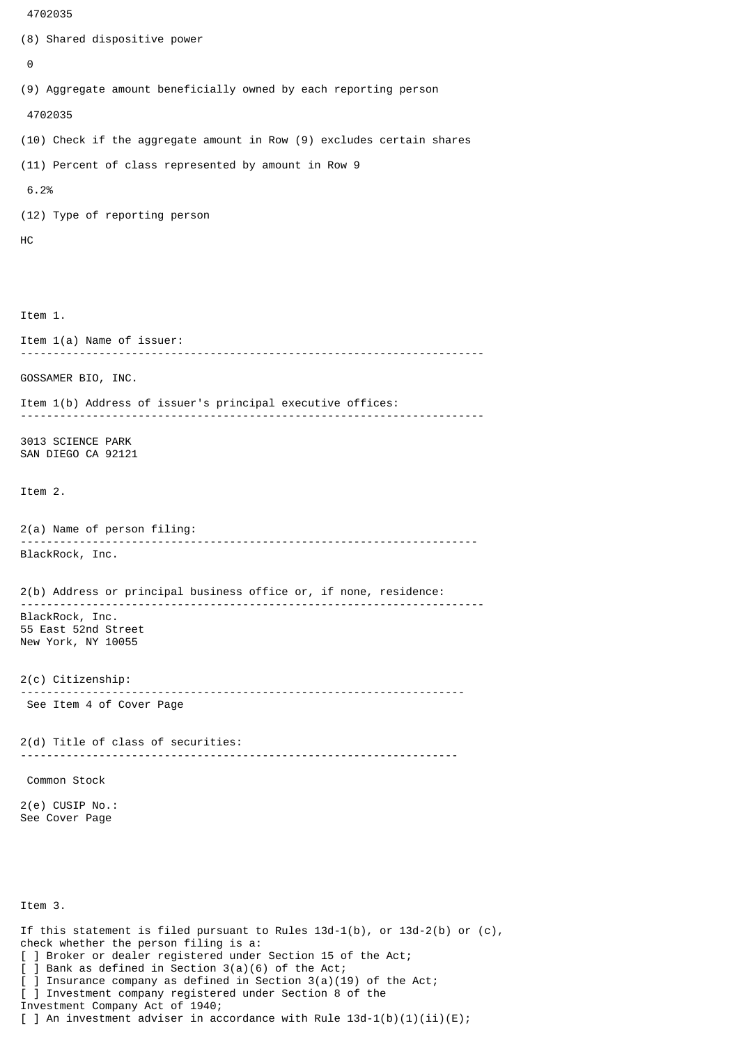```
 4702035
```

```
(8) Shared dispositive power
 \boldsymbol{\Theta}(9) Aggregate amount beneficially owned by each reporting person
  4702035
(10) Check if the aggregate amount in Row (9) excludes certain shares
(11) Percent of class represented by amount in Row 9
 6.2%
(12) Type of reporting person
HC
Item 1.
Item 1(a) Name of issuer:
                -----------------------------------------------------------------------
GOSSAMER BIO, INC.
Item 1(b) Address of issuer's principal executive offices:
-----------------------------------------------------------------------
3013 SCIENCE PARK
SAN DIEGO CA 92121
Item 2.
2(a) Name of person filing:
               ----------------------------------------------------------------------
BlackRock, Inc.
2(b) Address or principal business office or, if none, residence:
 -----------------------------------------------------------------------
BlackRock, Inc.
55 East 52nd Street
New York, NY 10055
2(c) Citizenship:
                            --------------------------------------------------------------------
 See Item 4 of Cover Page
2(d) Title of class of securities:
                                      -------------------------------------------------------------------
 Common Stock
2(e) CUSIP No.:
See Cover Page
Item 3.
If this statement is filed pursuant to Rules 13d-1(b), or 13d-2(b) or (c),
check whether the person filing is a:
[ ] Broker or dealer registered under Section 15 of the Act;
[ ] Bank as defined in Section 3(a)(6) of the Act;
  ] Insurance company as defined in Section 3(a)(19) of the Act;
[ ] Investment company registered under Section 8 of the
Investment Company Act of 1940;
```
[ ] An investment adviser in accordance with Rule  $13d-1(b)(1)(ii)(E)$ ;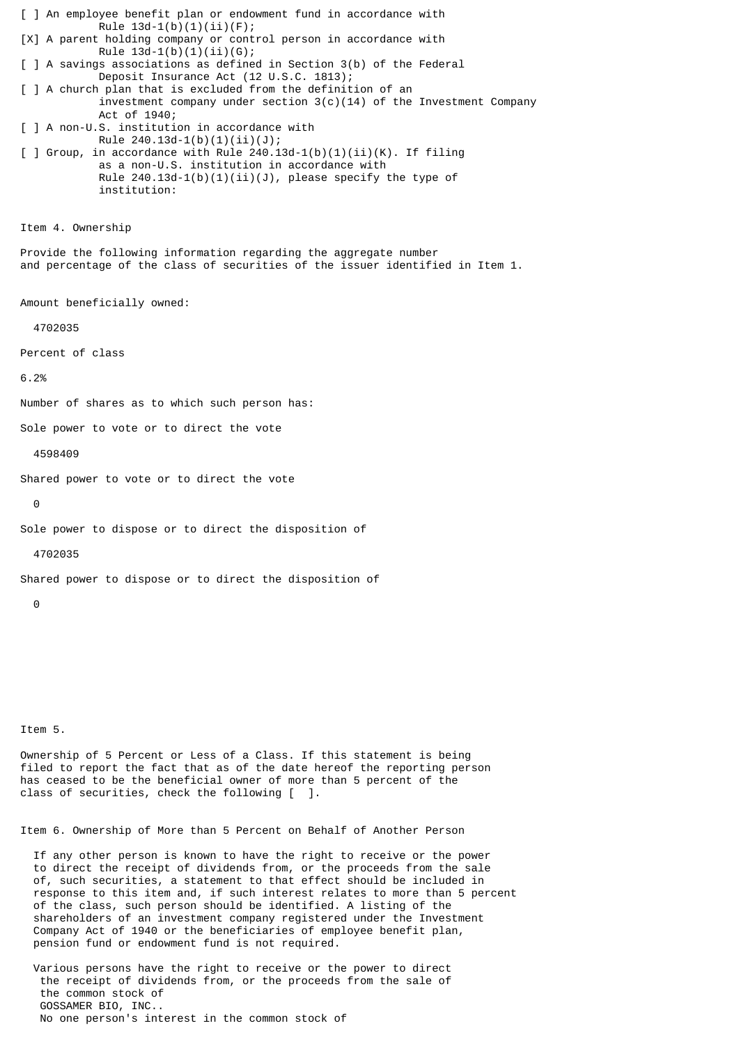[ ] An employee benefit plan or endowment fund in accordance with Rule  $13d-1(b)(1)(ii)(F);$ [X] A parent holding company or control person in accordance with Rule  $13d-1(b)(1)(ii)(G);$ [ ] A savings associations as defined in Section 3(b) of the Federal Deposit Insurance Act (12 U.S.C. 1813); [ ] A church plan that is excluded from the definition of an investment company under section  $3(c)(14)$  of the Investment Company Act of 1940; [ ] A non-U.S. institution in accordance with Rule  $240.13d-1(b)(1)(ii)(J);$  $\lceil$  ] Group, in accordance with Rule 240.13d-1(b)(1)(ii)(K). If filing as a non-U.S. institution in accordance with Rule  $240.13d-1(b)(1)(ii)(J)$ , please specify the type of institution: Item 4. Ownership Provide the following information regarding the aggregate number and percentage of the class of securities of the issuer identified in Item 1. Amount beneficially owned: 4702035 Percent of class 6.2% Number of shares as to which such person has: Sole power to vote or to direct the vote 4598409 Shared power to vote or to direct the vote

Item 5.

 $\Theta$ 

 $\Omega$ 

4702035

Ownership of 5 Percent or Less of a Class. If this statement is being filed to report the fact that as of the date hereof the reporting person has ceased to be the beneficial owner of more than 5 percent of the class of securities, check the following [ ].

Item 6. Ownership of More than 5 Percent on Behalf of Another Person

Sole power to dispose or to direct the disposition of

Shared power to dispose or to direct the disposition of

 If any other person is known to have the right to receive or the power to direct the receipt of dividends from, or the proceeds from the sale of, such securities, a statement to that effect should be included in response to this item and, if such interest relates to more than 5 percent of the class, such person should be identified. A listing of the shareholders of an investment company registered under the Investment Company Act of 1940 or the beneficiaries of employee benefit plan, pension fund or endowment fund is not required.

 Various persons have the right to receive or the power to direct the receipt of dividends from, or the proceeds from the sale of the common stock of GOSSAMER BIO, INC.. No one person's interest in the common stock of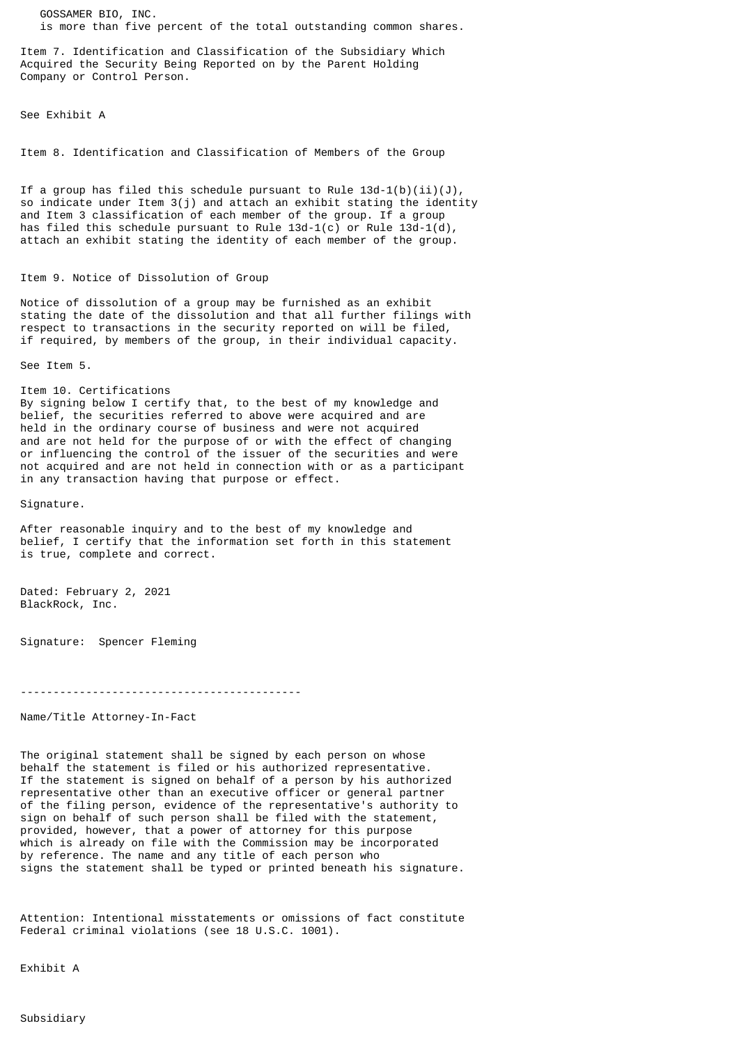GOSSAMER BIO, INC. is more than five percent of the total outstanding common shares.

Item 7. Identification and Classification of the Subsidiary Which Acquired the Security Being Reported on by the Parent Holding Company or Control Person.

See Exhibit A

Item 8. Identification and Classification of Members of the Group

If a group has filed this schedule pursuant to Rule  $13d-1(b)(ii)(J)$ , so indicate under Item 3(j) and attach an exhibit stating the identity and Item 3 classification of each member of the group. If a group has filed this schedule pursuant to Rule  $13d-1(c)$  or Rule  $13d-1(d)$ , attach an exhibit stating the identity of each member of the group.

## Item 9. Notice of Dissolution of Group

Notice of dissolution of a group may be furnished as an exhibit stating the date of the dissolution and that all further filings with respect to transactions in the security reported on will be filed, if required, by members of the group, in their individual capacity.

See Item 5.

Item 10. Certifications By signing below I certify that, to the best of my knowledge and belief, the securities referred to above were acquired and are held in the ordinary course of business and were not acquired and are not held for the purpose of or with the effect of changing or influencing the control of the issuer of the securities and were not acquired and are not held in connection with or as a participant in any transaction having that purpose or effect.

Signature.

After reasonable inquiry and to the best of my knowledge and belief, I certify that the information set forth in this statement is true, complete and correct.

Dated: February 2, 2021 BlackRock, Inc.

Signature: Spencer Fleming

-------------------------------------------

Name/Title Attorney-In-Fact

The original statement shall be signed by each person on whose behalf the statement is filed or his authorized representative. If the statement is signed on behalf of a person by his authorized representative other than an executive officer or general partner of the filing person, evidence of the representative's authority to sign on behalf of such person shall be filed with the statement, provided, however, that a power of attorney for this purpose which is already on file with the Commission may be incorporated by reference. The name and any title of each person who signs the statement shall be typed or printed beneath his signature.

Attention: Intentional misstatements or omissions of fact constitute Federal criminal violations (see 18 U.S.C. 1001).

Exhibit A